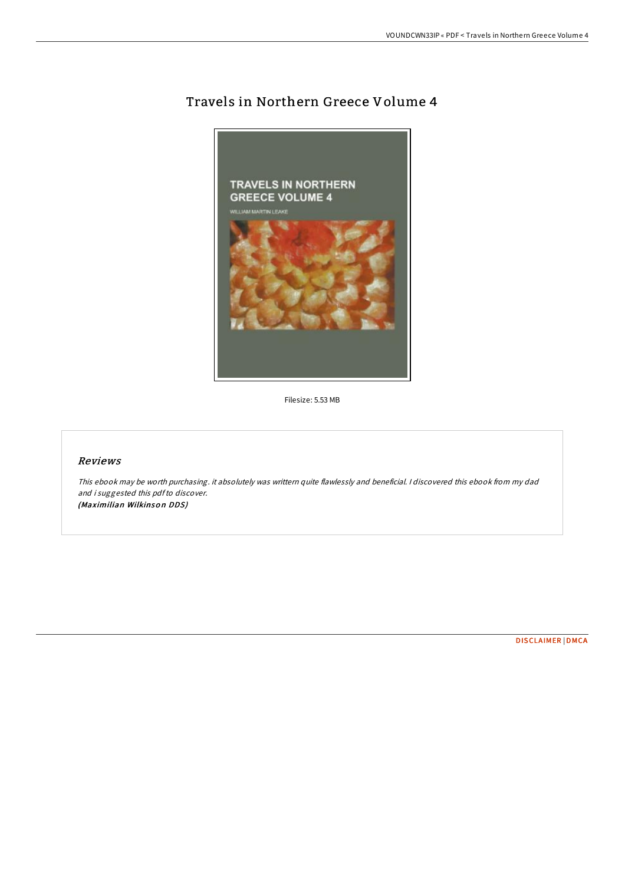# Travels in Northern Greece Volume 4



Filesize: 5.53 MB

# Reviews

This ebook may be worth purchasing. it absolutely was writtern quite flawlessly and beneficial. <sup>I</sup> discovered this ebook from my dad and i suggested this pdfto discover. (Maximilian Wilkinson DDS)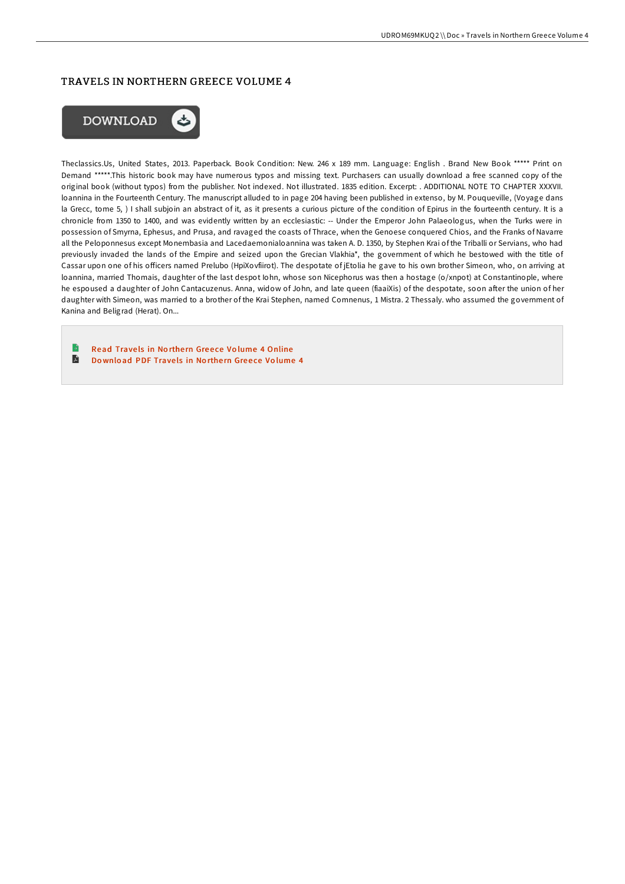### TRAVELS IN NORTHERN GREECE VOLUME 4



Theclassics.Us, United States, 2013. Paperback. Book Condition: New. 246 x 189 mm. Language: English . Brand New Book \*\*\*\*\* Print on Demand \*\*\*\*\*.This historic book may have numerous typos and missing text. Purchasers can usually download a free scanned copy of the original book (without typos) from the publisher. Not indexed. Not illustrated. 1835 edition. Excerpt: . ADDITIONAL NOTE TO CHAPTER XXXVII. loannina in the Fourteenth Century. The manuscript alluded to in page 204 having been published in extenso, by M. Pouqueville, (Voyage dans la Grecc, tome 5, ) I shall subjoin an abstract of it, as it presents a curious picture of the condition of Epirus in the fourteenth century. It is a chronicle from 1350 to 1400, and was evidently written by an ecclesiastic: -- Under the Emperor John Palaeologus, when the Turks were in possession of Smyrna, Ephesus, and Prusa, and ravaged the coasts of Thrace, when the Genoese conquered Chios, and the Franks of Navarre all the Peloponnesus except Monembasia and Lacedaemonialoannina was taken A. D. 1350, by Stephen Krai of the Triballi or Servians, who had previously invaded the lands of the Empire and seized upon the Grecian Vlakhia\*, the government of which he bestowed with the title of Cassar upon one of his officers named Prelubo (HpiXovfiirot). The despotate of jEtolia he gave to his own brother Simeon, who, on arriving at loannina, married Thomais, daughter of the last despot Iohn, whose son Nicephorus was then a hostage (o/xnpot) at Constantinople, where he espoused a daughter of John Cantacuzenus. Anna, widow of John, and late queen (fiaaiXis) of the despotate, soon after the union of her daughter with Simeon, was married to a brother of the Krai Stephen, named Comnenus, 1 Mistra. 2 Thessaly. who assumed the government of Kanina and Beligrad (Herat). On...

Read Travels in Northern Greece Volume 4 [Online](http://almighty24.tech/travels-in-northern-greece-volume-4-paperback.html) E Do wnload PDF [Trave](http://almighty24.tech/travels-in-northern-greece-volume-4-paperback.html)ls in Northern Greece Volume 4